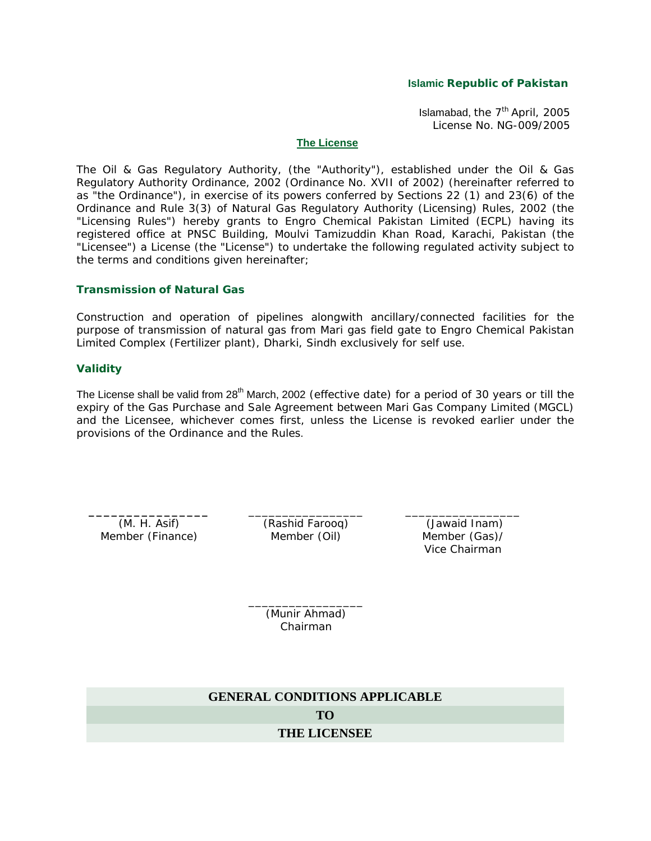#### **Islamic Republic of Pakistan**

Islamabad, the  $7<sup>th</sup>$  April, 2005 License No. NG-009/2005

#### **The License**

The Oil & Gas Regulatory Authority, (the "Authority"), established under the Oil & Gas Regulatory Authority Ordinance, 2002 (Ordinance No. XVII of 2002) (hereinafter referred to as "the Ordinance"), in exercise of its powers conferred by Sections 22 (1) and 23(6) of the Ordinance and Rule 3(3) of Natural Gas Regulatory Authority (Licensing) Rules, 2002 (the "Licensing Rules") hereby grants to Engro Chemical Pakistan Limited (ECPL) having its registered office at PNSC Building, Moulvi Tamizuddin Khan Road, Karachi, Pakistan (the "Licensee") a License (the "License") to undertake the following regulated activity subject to the terms and conditions given hereinafter;

## **Transmission of Natural Gas**

Construction and operation of pipelines alongwith ancillary/connected facilities for the purpose of transmission of natural gas from Mari gas field gate to Engro Chemical Pakistan Limited Complex (Fertilizer plant), Dharki, Sindh exclusively for self use.

#### **Validity**

The License shall be valid from  $28<sup>th</sup>$  March, 2002 (effective date) for a period of 30 years or till the expiry of the Gas Purchase and Sale Agreement between Mari Gas Company Limited (MGCL) and the Licensee, whichever comes first, unless the License is revoked earlier under the provisions of the Ordinance and the Rules.

**\_\_\_\_\_\_\_\_\_\_\_\_\_\_\_\_** (M. H. Asif) Member (Finance)

\_\_\_\_\_\_\_\_\_\_\_\_\_\_\_\_\_ (Rashid Farooq) Member (Oil)

\_\_\_\_\_\_\_\_\_\_\_\_\_\_\_\_\_ (Jawaid Inam) Member (Gas)/ Vice Chairman

\_\_\_\_\_\_\_\_\_\_\_\_\_\_\_\_\_ (Munir Ahmad) Chairman

**GENERAL CONDITIONS APPLICABLE TO THE LICENSEE**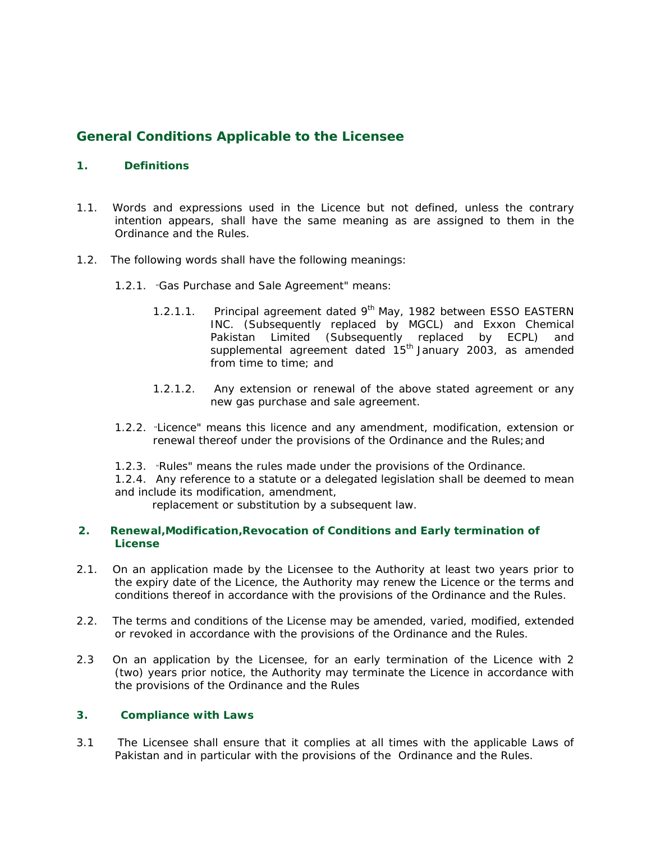# **General Conditions Applicable to the Licensee**

# **1. Definitions**

- 1.1. Words and expressions used in the Licence but not defined, unless the contrary intention appears, shall have the same meaning as are assigned to them in the Ordinance and the Rules.
- 1.2. The following words shall have the following meanings:
	- 1.2.1. "Gas Purchase and Sale Agreement" means:
		- 1.2.1.1. Principal agreement dated  $9<sup>th</sup>$  May, 1982 between ESSO EASTERN INC. (Subsequently replaced by MGCL) and Exxon Chemical Pakistan Limited (Subsequently replaced by ECPL) and supplemental agreement dated  $15<sup>th</sup>$  January 2003, as amended from time to time; and
		- 1.2.1.2. Any extension or renewal of the above stated agreement or any new gas purchase and sale agreement.
	- 1.2.2. "Licence" means this licence and any amendment, modification, extension or renewal thereof under the provisions of the Ordinance and the Rules;and
	- 1.2.3. "Rules" means the rules made under the provisions of the Ordinance.
	- 1.2.4. Any reference to a statute or a delegated legislation shall be deemed to mean and include its modification, amendment,

replacement or substitution by a subsequent law.

# **2. Renewal,Modification,Revocation of Conditions and Early termination of License**

- 2.1. On an application made by the Licensee to the Authority at least two years prior to the expiry date of the Licence, the Authority may renew the Licence or the terms and conditions thereof in accordance with the provisions of the Ordinance and the Rules.
- 2.2. The terms and conditions of the License may be amended, varied, modified, extended or revoked in accordance with the provisions of the Ordinance and the Rules.
- 2.3 On an application by the Licensee, for an early termination of the Licence with 2 (two) years prior notice, the Authority may terminate the Licence in accordance with the provisions of the Ordinance and the Rules

# **3. Compliance with Laws**

3.1 The Licensee shall ensure that it complies at all times with the applicable Laws of Pakistan and in particular with the provisions of the Ordinance and the Rules.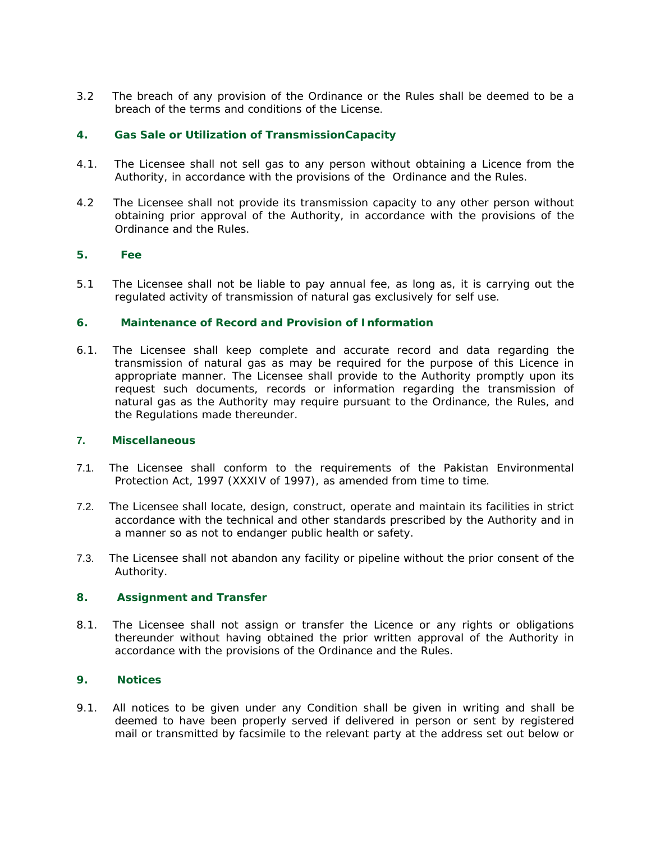3.2 The breach of any provision of the Ordinance or the Rules shall be deemed to be a breach of the terms and conditions of the License.

# **4. Gas Sale or Utilization of TransmissionCapacity**

- 4.1. The Licensee shall not sell gas to any person without obtaining a Licence from the Authority, in accordance with the provisions of the Ordinance and the Rules.
- 4.2 The Licensee shall not provide its transmission capacity to any other person without obtaining prior approval of the Authority, in accordance with the provisions of the Ordinance and the Rules.

## **5. Fee**

5.1 The Licensee shall not be liable to pay annual fee, as long as, it is carrying out the regulated activity of transmission of natural gas exclusively for self use.

## **6. Maintenance of Record and Provision of Information**

6.1. The Licensee shall keep complete and accurate record and data regarding the transmission of natural gas as may be required for the purpose of this Licence in appropriate manner. The Licensee shall provide to the Authority promptly upon its request such documents, records or information regarding the transmission of natural gas as the Authority may require pursuant to the Ordinance, the Rules, and the Regulations made thereunder.

#### **7. Miscellaneous**

- 7.1. The Licensee shall conform to the requirements of the Pakistan Environmental Protection Act, 1997 (XXXIV of 1997), as amended from time to time.
- 7.2. The Licensee shall locate, design, construct, operate and maintain its facilities in strict accordance with the technical and other standards prescribed by the Authority and in a manner so as not to endanger public health or safety.
- 7.3. The Licensee shall not abandon any facility or pipeline without the prior consent of the Authority.

#### **8. Assignment and Transfer**

8.1. The Licensee shall not assign or transfer the Licence or any rights or obligations thereunder without having obtained the prior written approval of the Authority in accordance with the provisions of the Ordinance and the Rules.

# **9. Notices**

9.1. All notices to be given under any Condition shall be given in writing and shall be deemed to have been properly served if delivered in person or sent by registered mail or transmitted by facsimile to the relevant party at the address set out below or